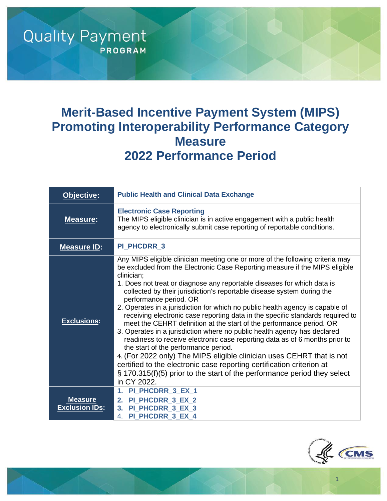# **Merit-Based Incentive Payment System (MIPS) Promoting Interoperability Performance Category Measure 2022 Performance Period**

**Quality Payment** 

**PROGRAM** 

| Objective:                              | <b>Public Health and Clinical Data Exchange</b>                                                                                                                                                                                                                                                                                                                                                                                                                                                                                                                                                                                                                                                                                                                                                                                                                                                                                                                                                                                                         |
|-----------------------------------------|---------------------------------------------------------------------------------------------------------------------------------------------------------------------------------------------------------------------------------------------------------------------------------------------------------------------------------------------------------------------------------------------------------------------------------------------------------------------------------------------------------------------------------------------------------------------------------------------------------------------------------------------------------------------------------------------------------------------------------------------------------------------------------------------------------------------------------------------------------------------------------------------------------------------------------------------------------------------------------------------------------------------------------------------------------|
| <b>Measure:</b>                         | <b>Electronic Case Reporting</b><br>The MIPS eligible clinician is in active engagement with a public health<br>agency to electronically submit case reporting of reportable conditions.                                                                                                                                                                                                                                                                                                                                                                                                                                                                                                                                                                                                                                                                                                                                                                                                                                                                |
| <b>Measure ID:</b>                      | PI_PHCDRR_3                                                                                                                                                                                                                                                                                                                                                                                                                                                                                                                                                                                                                                                                                                                                                                                                                                                                                                                                                                                                                                             |
| <b>Exclusions:</b>                      | Any MIPS eligible clinician meeting one or more of the following criteria may<br>be excluded from the Electronic Case Reporting measure if the MIPS eligible<br>clinician;<br>1. Does not treat or diagnose any reportable diseases for which data is<br>collected by their jurisdiction's reportable disease system during the<br>performance period. OR<br>2. Operates in a jurisdiction for which no public health agency is capable of<br>receiving electronic case reporting data in the specific standards required to<br>meet the CEHRT definition at the start of the performance period. OR<br>3. Operates in a jurisdiction where no public health agency has declared<br>readiness to receive electronic case reporting data as of 6 months prior to<br>the start of the performance period.<br>4. (For 2022 only) The MIPS eligible clinician uses CEHRT that is not<br>certified to the electronic case reporting certification criterion at<br>$\S$ 170.315(f)(5) prior to the start of the performance period they select<br>in CY 2022. |
| <b>Measure</b><br><b>Exclusion IDs:</b> | PI_PHCDRR_3_EX_1<br>1.<br>PI_PHCDRR_3_EX_2<br>2.<br>3. PI PHCDRR 3 EX 3<br>4. PI_PHCDRR_3_EX_4                                                                                                                                                                                                                                                                                                                                                                                                                                                                                                                                                                                                                                                                                                                                                                                                                                                                                                                                                          |



1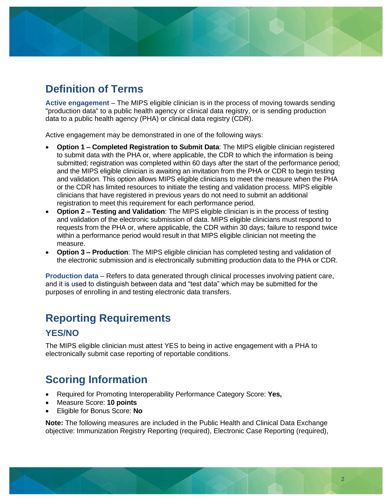# **Definition of Terms**

**Active engagement** – The MIPS eligible clinician is in the process of moving towards sending "production data" to a public health agency or clinical data registry, or is sending production data to a public health agency (PHA) or clinical data registry (CDR).

Active engagement may be demonstrated in one of the following ways:

- **Option 1 – Completed Registration to Submit Data**: The MIPS eligible clinician registered to submit data with the PHA or, where applicable, the CDR to which the information is being submitted; registration was completed within 60 days after the start of the performance period; and the MIPS eligible clinician is awaiting an invitation from the PHA or CDR to begin testing and validation. This option allows MIPS eligible clinicians to meet the measure when the PHA or the CDR has limited resources to initiate the testing and validation process. MIPS eligible clinicians that have registered in previous years do not need to submit an additional registration to meet this requirement for each performance period.
- **Option 2 – Testing and Validation**: The MIPS eligible clinician is in the process of testing and validation of the electronic submission of data. MIPS eligible clinicians must respond to requests from the PHA or, where applicable, the CDR within 30 days; failure to respond twice within a performance period would result in that MIPS eligible clinician not meeting the measure.
- **Option 3 – Production**: The MIPS eligible clinician has completed testing and validation of the electronic submission and is electronically submitting production data to the PHA or CDR.

**Production data** – Refers to data generated through clinical processes involving patient care, and it is used to distinguish between data and "test data" which may be submitted for the purposes of enrolling in and testing electronic data transfers.

# **Reporting Requirements**

## **YES/NO**

The MIPS eligible clinician must attest YES to being in active engagement with a PHA to electronically submit case reporting of reportable conditions.

# **Scoring Information**

- Required for Promoting Interoperability Performance Category Score: **Yes,**
- Measure Score: **10 points**
- Eligible for Bonus Score: **No**

**Note:** The following measures are included in the Public Health and Clinical Data Exchange objective: Immunization Registry Reporting (required), Electronic Case Reporting (required),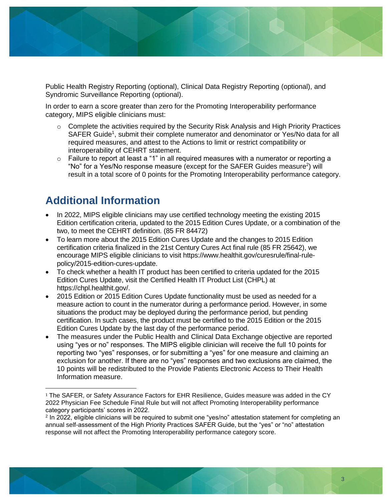

Public Health Registry Reporting (optional), Clinical Data Registry Reporting (optional), and Syndromic Surveillance Reporting (optional).

In order to earn a score greater than zero for the Promoting Interoperability performance category, MIPS eligible clinicians must:

- $\circ$  Complete the activities required by the Security Risk Analysis and High Priority Practices SAFER Guide<sup>1</sup>, submit their complete numerator and denominator or Yes/No data for all required measures, and attest to the Actions to limit or restrict compatibility or interoperability of CEHRT statement.
- o Failure to report at least a "1" in all required measures with a numerator or reporting a "No" for a Yes/No response measure (except for the SAFER Guides measure<sup>2</sup>) will result in a total score of 0 points for the Promoting Interoperability performance category.

## **Additional Information**

- In 2022, MIPS eligible clinicians may use certified technology meeting the existing 2015 Edition certification criteria, updated to the 2015 Edition Cures Update, or a combination of the two, to meet the CEHRT definition. (85 FR 84472)
- To learn more about the 2015 Edition Cures Update and the changes to 2015 Edition certification criteria finalized in the 21st Century Cures Act final rule (85 FR 25642), we encourage MIPS eligible clinicians to visit https://www.healthit.gov/curesrule/final-rulepolicy/2015-edition-cures-update.
- To check whether a health IT product has been certified to criteria updated for the 2015 Edition Cures Update, visit the Certified Health IT Product List (CHPL) at https://chpl.healthit.gov/.
- 2015 Edition or 2015 Edition Cures Update functionality must be used as needed for a measure action to count in the numerator during a performance period. However, in some situations the product may be deployed during the performance period, but pending certification. In such cases, the product must be certified to the 2015 Edition or the 2015 Edition Cures Update by the last day of the performance period.
- The measures under the Public Health and Clinical Data Exchange objective are reported using "yes or no" responses. The MIPS eligible clinician will receive the full 10 points for reporting two "yes" responses, or for submitting a "yes" for one measure and claiming an exclusion for another. If there are no "yes" responses and two exclusions are claimed, the 10 points will be redistributed to the Provide Patients Electronic Access to Their Health Information measure.

<sup>&</sup>lt;sup>1</sup> The SAFER, or Safety Assurance Factors for EHR Resilience, Guides measure was added in the CY 2022 Physician Fee Schedule Final Rule but will not affect Promoting Interoperability performance category participants' scores in 2022.

<sup>2</sup> In 2022, eligible clinicians will be required to submit one "yes/no" attestation statement for completing an annual self-assessment of the High Priority Practices SAFER Guide, but the "yes" or "no" attestation response will not affect the Promoting Interoperability performance category score.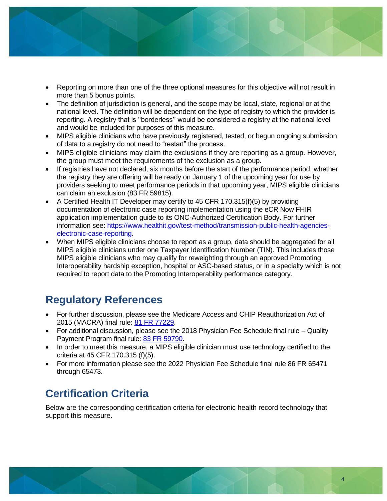

- Reporting on more than one of the three optional measures for this objective will not result in more than 5 bonus points.
- The definition of jurisdiction is general, and the scope may be local, state, regional or at the national level. The definition will be dependent on the type of registry to which the provider is reporting. A registry that is ''borderless'' would be considered a registry at the national level and would be included for purposes of this measure.
- MIPS eligible clinicians who have previously registered, tested, or begun ongoing submission of data to a registry do not need to "restart" the process.
- MIPS eligible clinicians may claim the exclusions if they are reporting as a group. However, the group must meet the requirements of the exclusion as a group.
- If registries have not declared, six months before the start of the performance period, whether the registry they are offering will be ready on January 1 of the upcoming year for use by providers seeking to meet performance periods in that upcoming year, MIPS eligible clinicians can claim an exclusion (83 FR 59815).
- A Certified Health IT Developer may certify to 45 CFR 170.315(f)(5) by providing documentation of electronic case reporting implementation using the eCR Now FHIR application implementation guide to its ONC-Authorized Certification Body. For further information see: [https://www.healthit.gov/test-method/transmission-public-health-agencies](https://www.healthit.gov/test-method/transmission-public-health-agencies-electronic-case-reporting)[electronic-case-reporting.](https://www.healthit.gov/test-method/transmission-public-health-agencies-electronic-case-reporting)
- When MIPS eligible clinicians choose to report as a group, data should be aggregated for all MIPS eligible clinicians under one Taxpayer Identification Number (TIN). This includes those MIPS eligible clinicians who may qualify for reweighting through an approved Promoting Interoperability hardship exception, hospital or ASC-based status, or in a specialty which is not required to report data to the Promoting Interoperability performance category.

# **Regulatory References**

- For further discussion, please see the Medicare Access and CHIP Reauthorization Act of 2015 (MACRA) final rule: [81 FR 77229.](https://www.federalregister.gov/d/2016-25240/p-2852)
- For additional discussion, please see the 2018 Physician Fee Schedule final rule Quality Payment Program final rule: [83 FR 59790.](https://www.federalregister.gov/d/2018-24170/p-3203)
- In order to meet this measure, a MIPS eligible clinician must use technology certified to the criteria at 45 CFR 170.315 (f)(5).
- For more information please see the 2022 Physician Fee Schedule final rule 86 FR 65471 through 65473.

# **Certification Criteria**

Below are the corresponding certification criteria for electronic health record technology that support this measure.